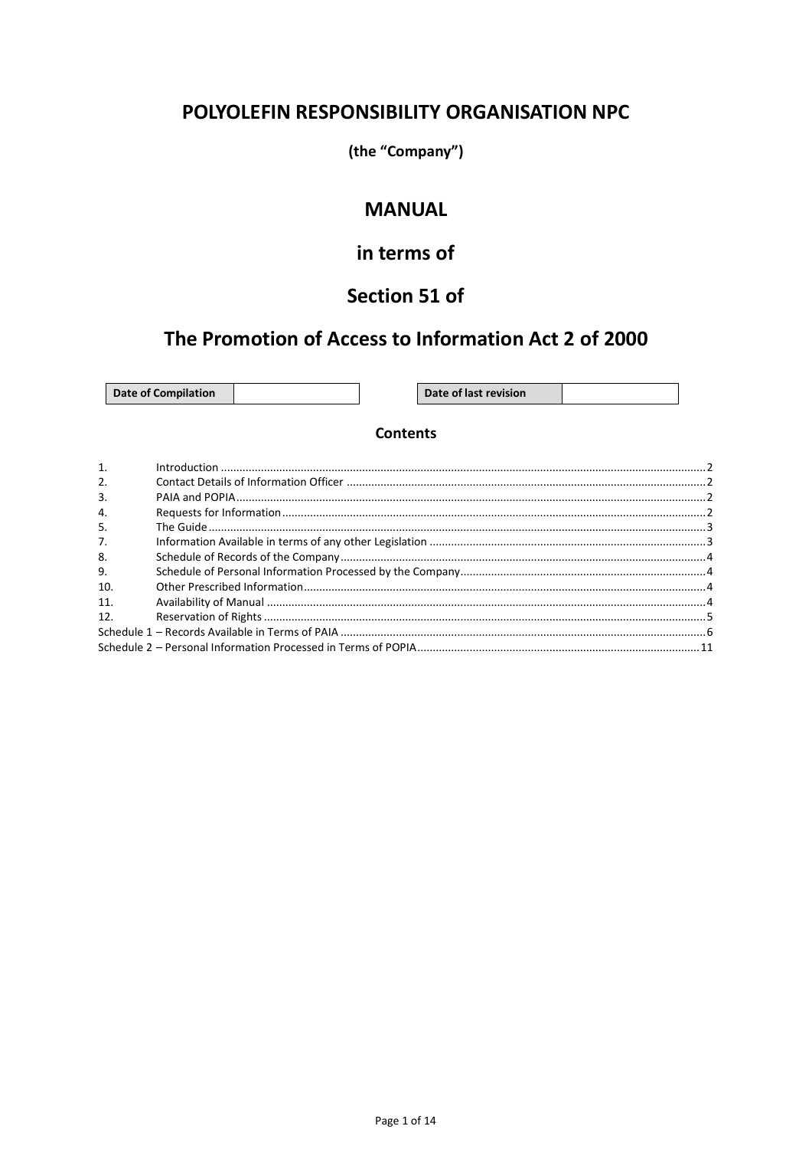### POLYOLEFIN RESPONSIBILITY ORGANISATION NPC

(the "Company")

### **MANUAL**

# in terms of

# Section 51 of

## The Promotion of Access to Information Act 2 of 2000

**Date of Compilation** 

Date of last revision

### **Contents**

| $\mathbf{1}$     |  |
|------------------|--|
| 2.               |  |
| $\overline{3}$ . |  |
| $\overline{4}$ . |  |
| 5.               |  |
| 7 <sub>1</sub>   |  |
| 8.               |  |
| 9.               |  |
| 10.              |  |
| 11.              |  |
| 12.              |  |
|                  |  |
|                  |  |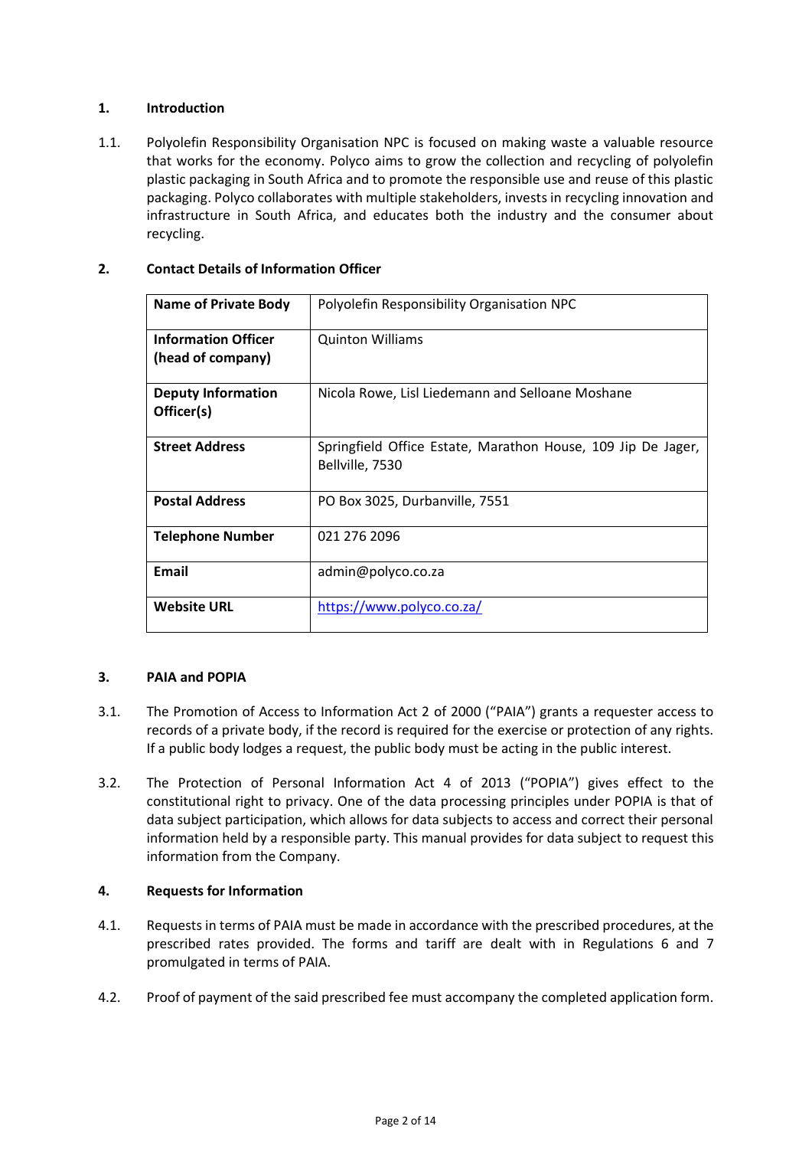### <span id="page-1-0"></span>**1. Introduction**

1.1. Polyolefin Responsibility Organisation NPC is focused on making waste a valuable resource that works for the economy. Polyco aims to grow the collection and recycling of polyolefin plastic packaging in South Africa and to promote the responsible use and reuse of this plastic packaging. Polyco collaborates with multiple stakeholders, invests in recycling innovation and infrastructure in South Africa, and educates both the industry and the consumer about recycling.

### <span id="page-1-1"></span>**2. Contact Details of Information Officer**

| <b>Name of Private Body</b>                     | Polyolefin Responsibility Organisation NPC                                      |
|-------------------------------------------------|---------------------------------------------------------------------------------|
| <b>Information Officer</b><br>(head of company) | <b>Quinton Williams</b>                                                         |
| <b>Deputy Information</b><br>Officer(s)         | Nicola Rowe, Lisl Liedemann and Selloane Moshane                                |
| <b>Street Address</b>                           | Springfield Office Estate, Marathon House, 109 Jip De Jager,<br>Bellville, 7530 |
| <b>Postal Address</b>                           | PO Box 3025, Durbanville, 7551                                                  |
| <b>Telephone Number</b>                         | 021 276 2096                                                                    |
| Email                                           | admin@polyco.co.za                                                              |
| <b>Website URL</b>                              | https://www.polyco.co.za/                                                       |

#### <span id="page-1-2"></span>**3. PAIA and POPIA**

- 3.1. The Promotion of Access to Information Act 2 of 2000 ("PAIA") grants a requester access to records of a private body, if the record is required for the exercise or protection of any rights. If a public body lodges a request, the public body must be acting in the public interest.
- 3.2. The Protection of Personal Information Act 4 of 2013 ("POPIA") gives effect to the constitutional right to privacy. One of the data processing principles under POPIA is that of data subject participation, which allows for data subjects to access and correct their personal information held by a responsible party. This manual provides for data subject to request this information from the Company.

#### <span id="page-1-3"></span>**4. Requests for Information**

- 4.1. Requests in terms of PAIA must be made in accordance with the prescribed procedures, at the prescribed rates provided. The forms and tariff are dealt with in Regulations 6 and 7 promulgated in terms of PAIA.
- 4.2. Proof of payment of the said prescribed fee must accompany the completed application form.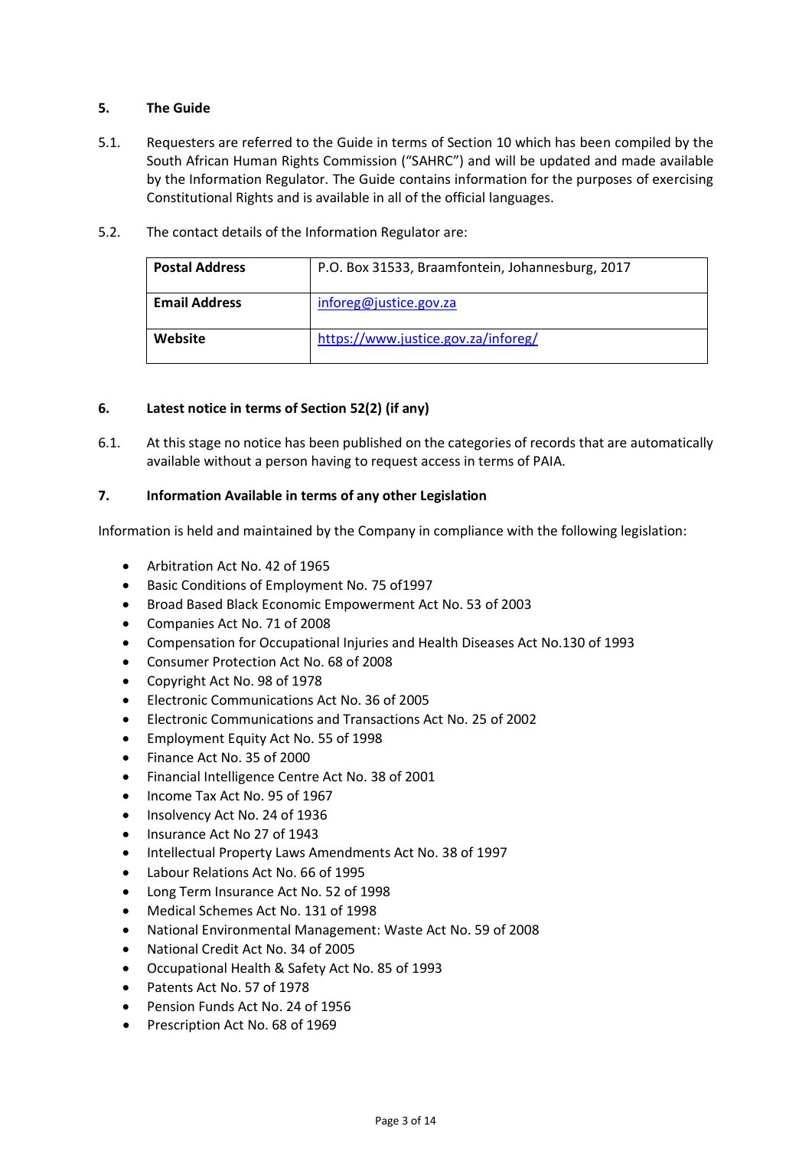### <span id="page-2-0"></span>**5. The Guide**

- 5.1. Requesters are referred to the Guide in terms of Section 10 which has been compiled by the South African Human Rights Commission ("SAHRC") and will be updated and made available by the Information Regulator. The Guide contains information for the purposes of exercising Constitutional Rights and is available in all of the official languages.
- 5.2. The contact details of the Information Regulator are:

| <b>Postal Address</b> | P.O. Box 31533, Braamfontein, Johannesburg, 2017 |
|-----------------------|--------------------------------------------------|
| <b>Email Address</b>  | inforeg@justice.gov.za                           |
| Website               | https://www.justice.gov.za/inforeg/              |

### **6. Latest notice in terms of Section 52(2) (if any)**

6.1. At this stage no notice has been published on the categories of records that are automatically available without a person having to request access in terms of PAIA.

### <span id="page-2-1"></span>**7. Information Available in terms of any other Legislation**

Information is held and maintained by the Company in compliance with the following legislation:

- Arbitration Act No. 42 of 1965
- Basic Conditions of Employment No. 75 of1997
- Broad Based Black Economic Empowerment Act No. 53 of 2003
- Companies Act No. 71 of 2008
- Compensation for Occupational Injuries and Health Diseases Act No.130 of 1993
- Consumer Protection Act No. 68 of 2008
- Copyright Act No. 98 of 1978
- Electronic Communications Act No. 36 of 2005
- Electronic Communications and Transactions Act No. 25 of 2002
- Employment Equity Act No. 55 of 1998
- Finance Act No. 35 of 2000
- Financial Intelligence Centre Act No. 38 of 2001
- Income Tax Act No. 95 of 1967
- Insolvency Act No. 24 of 1936
- Insurance Act No 27 of 1943
- Intellectual Property Laws Amendments Act No. 38 of 1997
- Labour Relations Act No. 66 of 1995
- Long Term Insurance Act No. 52 of 1998
- Medical Schemes Act No. 131 of 1998
- National Environmental Management: Waste Act No. 59 of 2008
- National Credit Act No. 34 of 2005
- Occupational Health & Safety Act No. 85 of 1993
- Patents Act No. 57 of 1978
- Pension Funds Act No. 24 of 1956
- Prescription Act No. 68 of 1969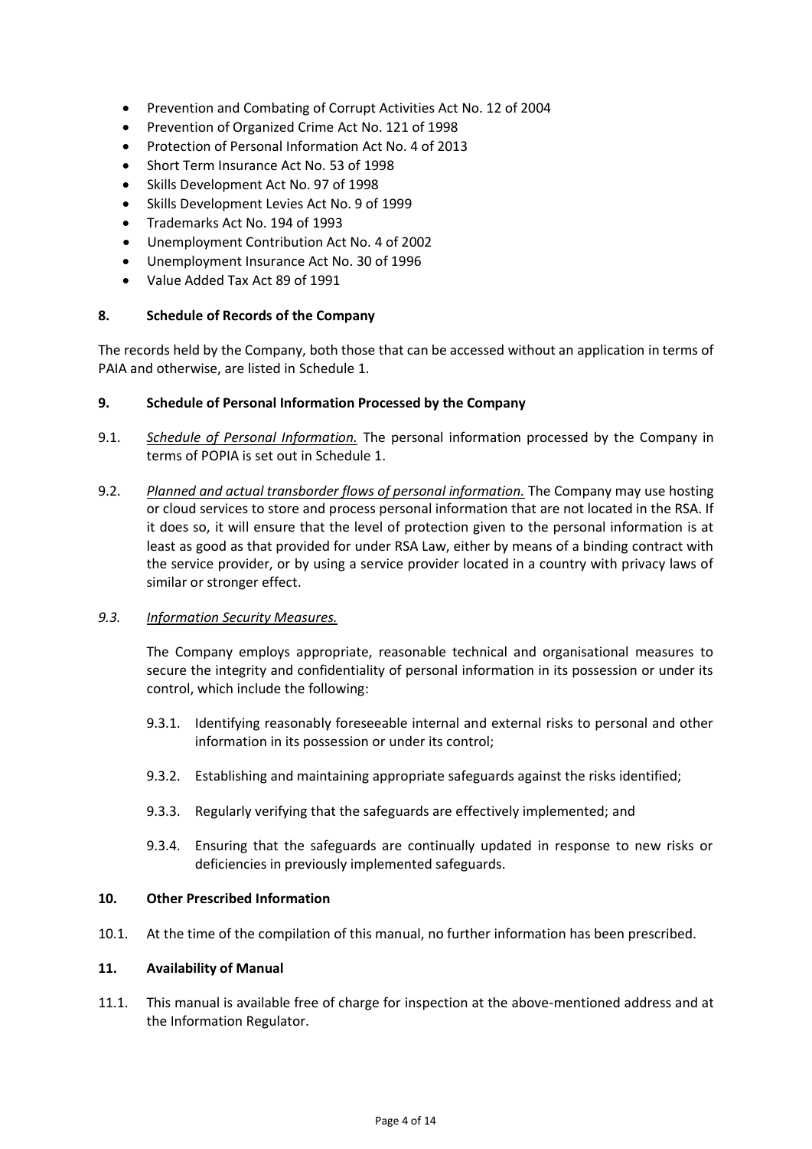- Prevention and Combating of Corrupt Activities Act No. 12 of 2004
- Prevention of Organized Crime Act No. 121 of 1998
- Protection of Personal Information Act No. 4 of 2013
- Short Term Insurance Act No. 53 of 1998
- Skills Development Act No. 97 of 1998
- Skills Development Levies Act No. 9 of 1999
- Trademarks Act No. 194 of 1993
- Unemployment Contribution Act No. 4 of 2002
- Unemployment Insurance Act No. 30 of 1996
- Value Added Tax Act 89 of 1991

#### <span id="page-3-0"></span>**8. Schedule of Records of the Company**

The records held by the Company, both those that can be accessed without an application in terms of PAIA and otherwise, are listed in [Schedule 1.](#page-5-0)

#### <span id="page-3-1"></span>**9. Schedule of Personal Information Processed by the Company**

- 9.1. *Schedule of Personal Information.* The personal information processed by the Company in terms of POPIA is set out i[n Schedule 1.](#page-9-0)
- 9.2. *Planned and actual transborder flows of personal information.* The Company may use hosting or cloud services to store and process personal information that are not located in the RSA. If it does so, it will ensure that the level of protection given to the personal information is at least as good as that provided for under RSA Law, either by means of a binding contract with the service provider, or by using a service provider located in a country with privacy laws of similar or stronger effect.

#### *9.3. Information Security Measures.*

The Company employs appropriate, reasonable technical and organisational measures to secure the integrity and confidentiality of personal information in its possession or under its control, which include the following:

- 9.3.1. Identifying reasonably foreseeable internal and external risks to personal and other information in its possession or under its control;
- 9.3.2. Establishing and maintaining appropriate safeguards against the risks identified;
- 9.3.3. Regularly verifying that the safeguards are effectively implemented; and
- 9.3.4. Ensuring that the safeguards are continually updated in response to new risks or deficiencies in previously implemented safeguards.

#### <span id="page-3-2"></span>**10. Other Prescribed Information**

10.1. At the time of the compilation of this manual, no further information has been prescribed.

#### <span id="page-3-3"></span>**11. Availability of Manual**

11.1. This manual is available free of charge for inspection at the above-mentioned address and at the Information Regulator.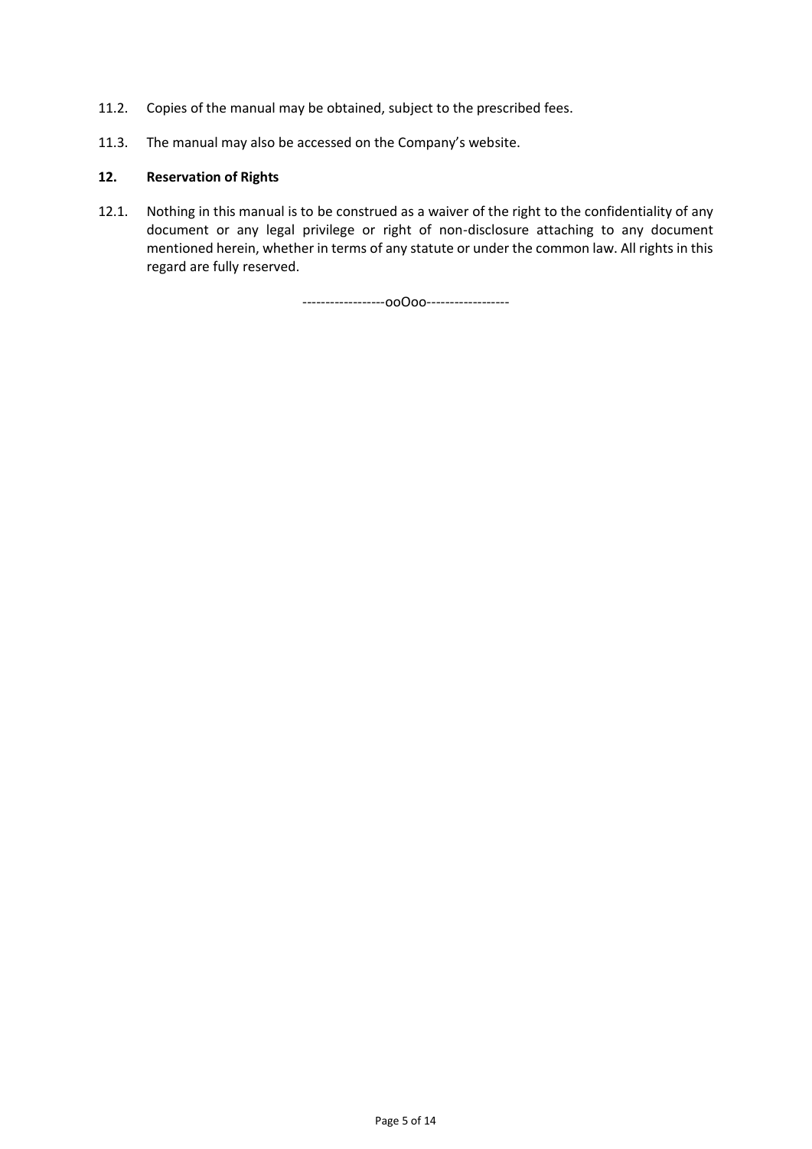- 11.2. Copies of the manual may be obtained, subject to the prescribed fees.
- 11.3. The manual may also be accessed on the Company's website.

### <span id="page-4-0"></span>**12. Reservation of Rights**

12.1. Nothing in this manual is to be construed as a waiver of the right to the confidentiality of any document or any legal privilege or right of non-disclosure attaching to any document mentioned herein, whether in terms of any statute or under the common law. All rights in this regard are fully reserved.

------------------ooOoo------------------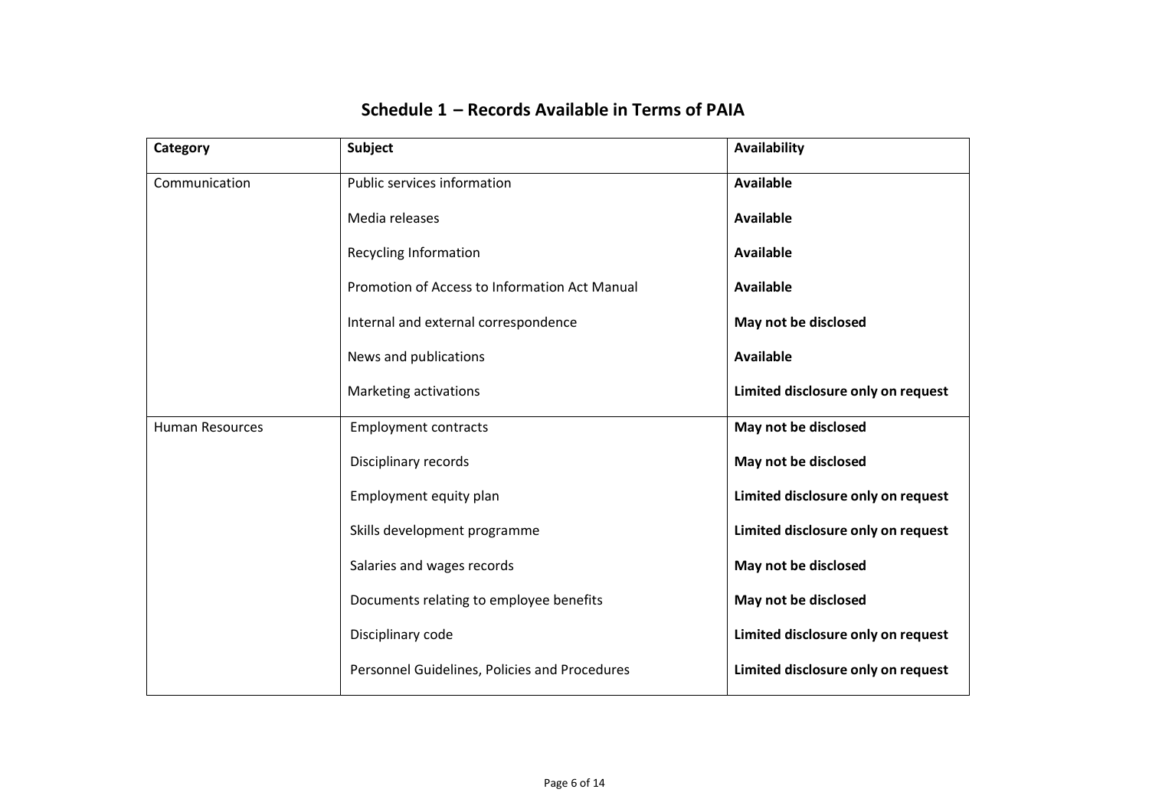<span id="page-5-0"></span>

| Category               | <b>Subject</b>                                | Availability                       |
|------------------------|-----------------------------------------------|------------------------------------|
| Communication          | Public services information                   | <b>Available</b>                   |
|                        | Media releases                                | <b>Available</b>                   |
|                        | <b>Recycling Information</b>                  | Available                          |
|                        | Promotion of Access to Information Act Manual | <b>Available</b>                   |
|                        | Internal and external correspondence          | May not be disclosed               |
|                        | News and publications                         | <b>Available</b>                   |
|                        | Marketing activations                         | Limited disclosure only on request |
| <b>Human Resources</b> | <b>Employment contracts</b>                   | May not be disclosed               |
|                        | Disciplinary records                          | May not be disclosed               |
|                        | Employment equity plan                        | Limited disclosure only on request |
|                        | Skills development programme                  | Limited disclosure only on request |
|                        | Salaries and wages records                    | May not be disclosed               |
|                        | Documents relating to employee benefits       | May not be disclosed               |
|                        | Disciplinary code                             | Limited disclosure only on request |
|                        | Personnel Guidelines, Policies and Procedures | Limited disclosure only on request |

## **Schedule 1 – Records Available in Terms of PAIA**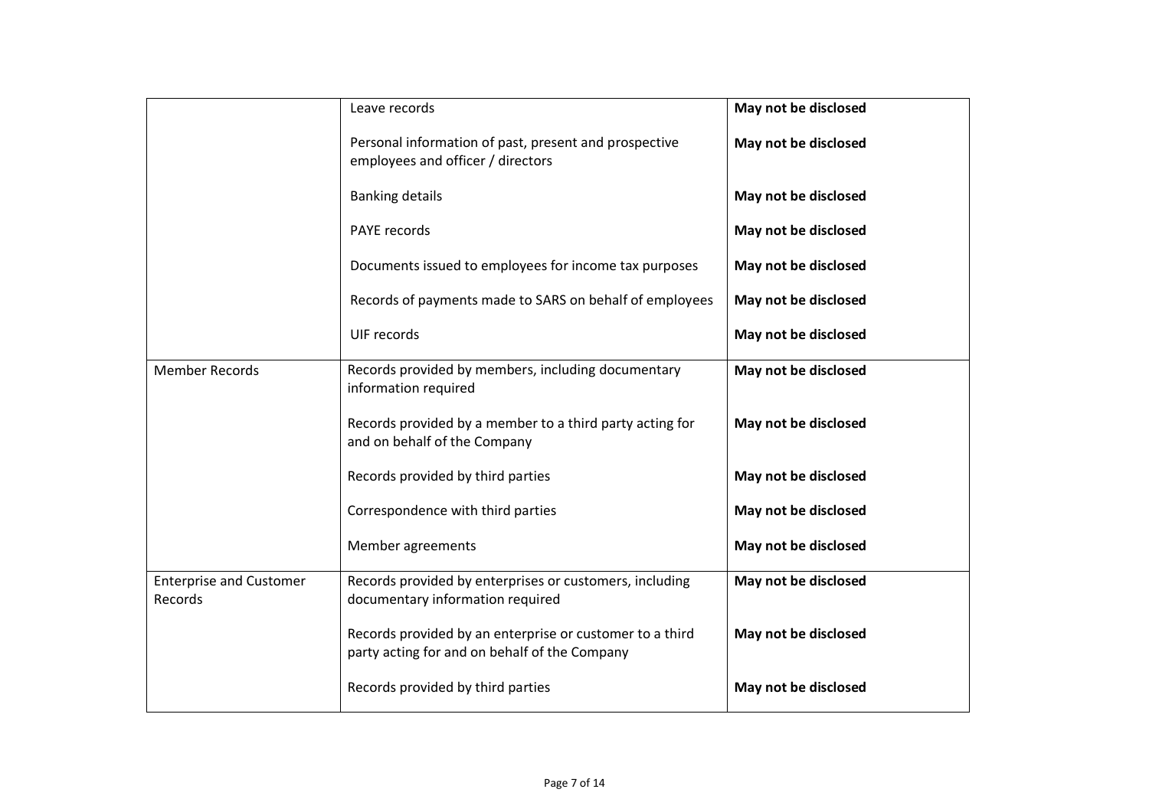|                                                  | Leave records                                                                                             | May not be disclosed |
|--------------------------------------------------|-----------------------------------------------------------------------------------------------------------|----------------------|
|                                                  | Personal information of past, present and prospective<br>employees and officer / directors                | May not be disclosed |
|                                                  | <b>Banking details</b>                                                                                    | May not be disclosed |
|                                                  | <b>PAYE</b> records                                                                                       | May not be disclosed |
|                                                  | Documents issued to employees for income tax purposes                                                     | May not be disclosed |
|                                                  | Records of payments made to SARS on behalf of employees                                                   | May not be disclosed |
|                                                  | UIF records                                                                                               | May not be disclosed |
| <b>Member Records</b>                            | Records provided by members, including documentary<br>information required                                | May not be disclosed |
|                                                  | Records provided by a member to a third party acting for<br>and on behalf of the Company                  | May not be disclosed |
|                                                  | Records provided by third parties                                                                         | May not be disclosed |
|                                                  | Correspondence with third parties                                                                         | May not be disclosed |
|                                                  | Member agreements                                                                                         | May not be disclosed |
| <b>Enterprise and Customer</b><br><b>Records</b> | Records provided by enterprises or customers, including<br>documentary information required               | May not be disclosed |
|                                                  | Records provided by an enterprise or customer to a third<br>party acting for and on behalf of the Company | May not be disclosed |
|                                                  | Records provided by third parties                                                                         | May not be disclosed |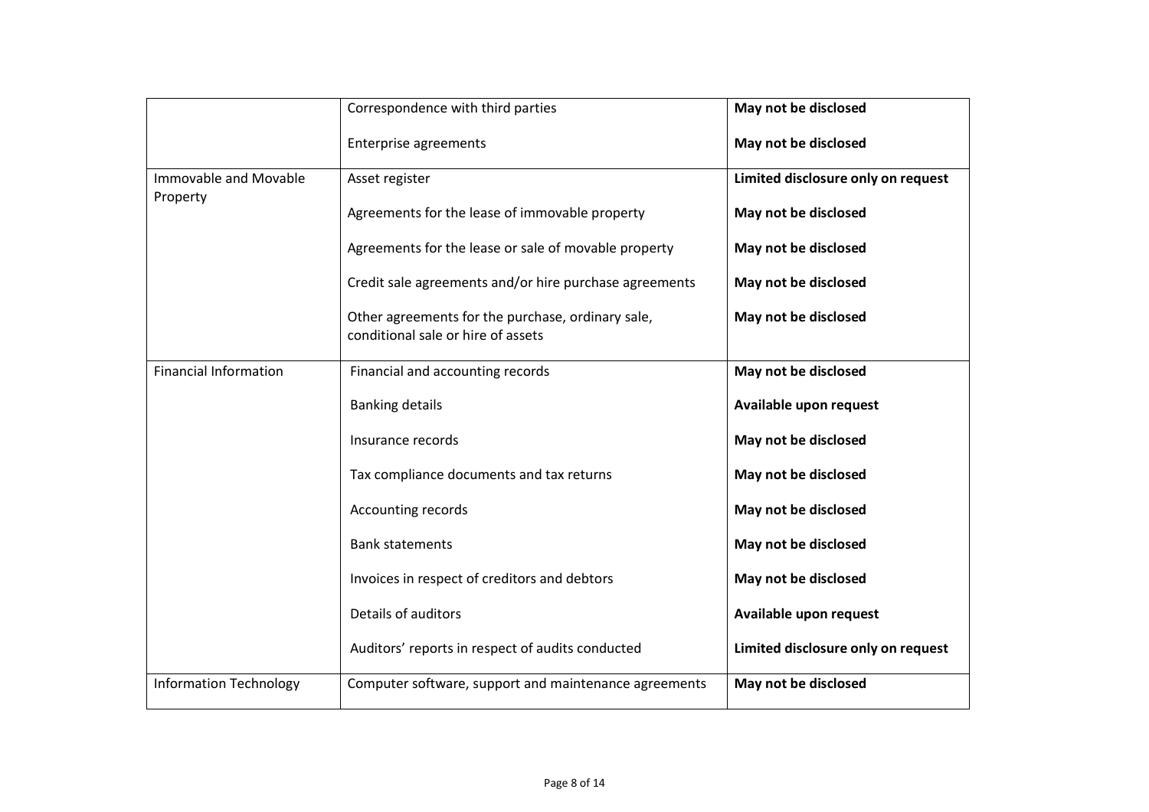|                                   | Correspondence with third parties                                                       | May not be disclosed               |
|-----------------------------------|-----------------------------------------------------------------------------------------|------------------------------------|
|                                   | Enterprise agreements                                                                   | May not be disclosed               |
| Immovable and Movable<br>Property | Asset register                                                                          | Limited disclosure only on request |
|                                   | Agreements for the lease of immovable property                                          | May not be disclosed               |
|                                   | Agreements for the lease or sale of movable property                                    | May not be disclosed               |
|                                   | Credit sale agreements and/or hire purchase agreements                                  | May not be disclosed               |
|                                   | Other agreements for the purchase, ordinary sale,<br>conditional sale or hire of assets | May not be disclosed               |
| <b>Financial Information</b>      | Financial and accounting records                                                        | May not be disclosed               |
|                                   | <b>Banking details</b>                                                                  | Available upon request             |
|                                   | Insurance records                                                                       | May not be disclosed               |
|                                   | Tax compliance documents and tax returns                                                | May not be disclosed               |
|                                   | Accounting records                                                                      | May not be disclosed               |
|                                   | <b>Bank statements</b>                                                                  | May not be disclosed               |
|                                   | Invoices in respect of creditors and debtors                                            | May not be disclosed               |
|                                   | Details of auditors                                                                     | Available upon request             |
|                                   | Auditors' reports in respect of audits conducted                                        | Limited disclosure only on request |
| <b>Information Technology</b>     | Computer software, support and maintenance agreements                                   | May not be disclosed               |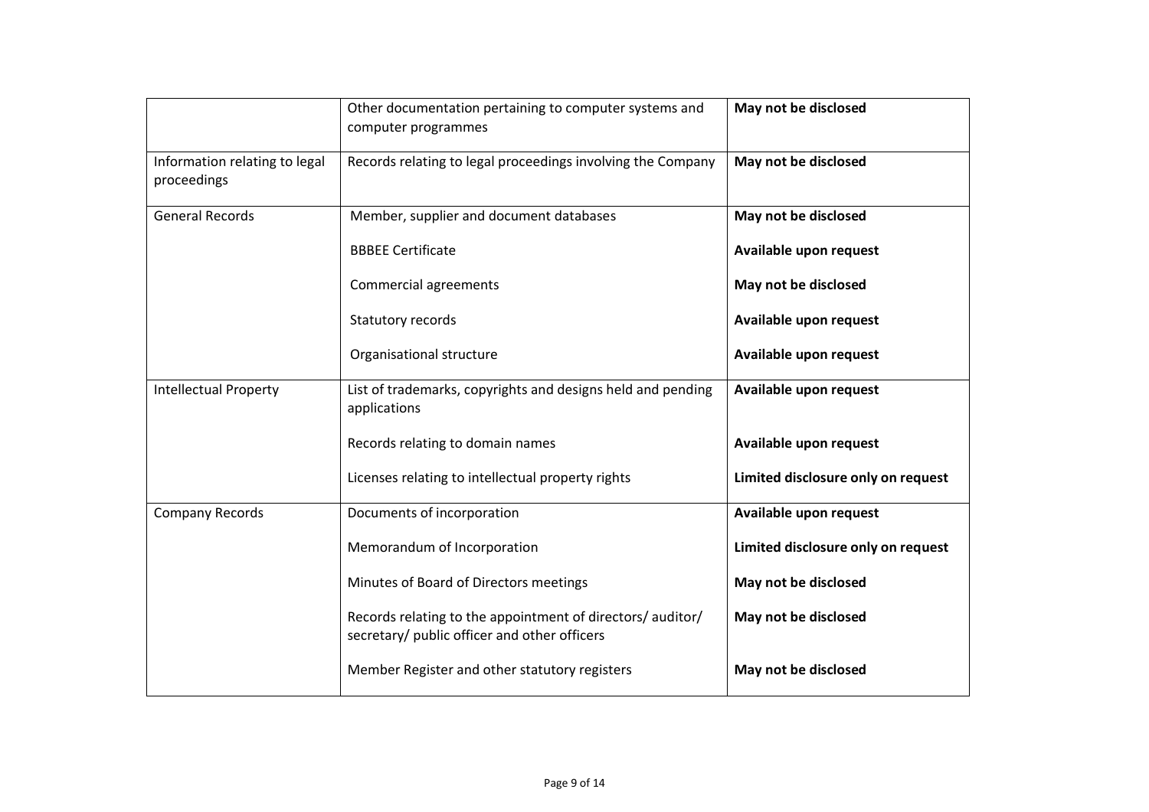|                                              | Other documentation pertaining to computer systems and<br>computer programmes                              | May not be disclosed               |
|----------------------------------------------|------------------------------------------------------------------------------------------------------------|------------------------------------|
| Information relating to legal<br>proceedings | Records relating to legal proceedings involving the Company                                                | May not be disclosed               |
| <b>General Records</b>                       | Member, supplier and document databases                                                                    | May not be disclosed               |
|                                              | <b>BBBEE Certificate</b>                                                                                   | Available upon request             |
|                                              | <b>Commercial agreements</b>                                                                               | May not be disclosed               |
|                                              | Statutory records                                                                                          | Available upon request             |
|                                              | Organisational structure                                                                                   | Available upon request             |
| <b>Intellectual Property</b>                 | List of trademarks, copyrights and designs held and pending<br>applications                                | Available upon request             |
|                                              | Records relating to domain names                                                                           | Available upon request             |
|                                              | Licenses relating to intellectual property rights                                                          | Limited disclosure only on request |
| <b>Company Records</b>                       | Documents of incorporation                                                                                 | Available upon request             |
|                                              | Memorandum of Incorporation                                                                                | Limited disclosure only on request |
|                                              | Minutes of Board of Directors meetings                                                                     | May not be disclosed               |
|                                              | Records relating to the appointment of directors/ auditor/<br>secretary/ public officer and other officers | May not be disclosed               |
|                                              | Member Register and other statutory registers                                                              | May not be disclosed               |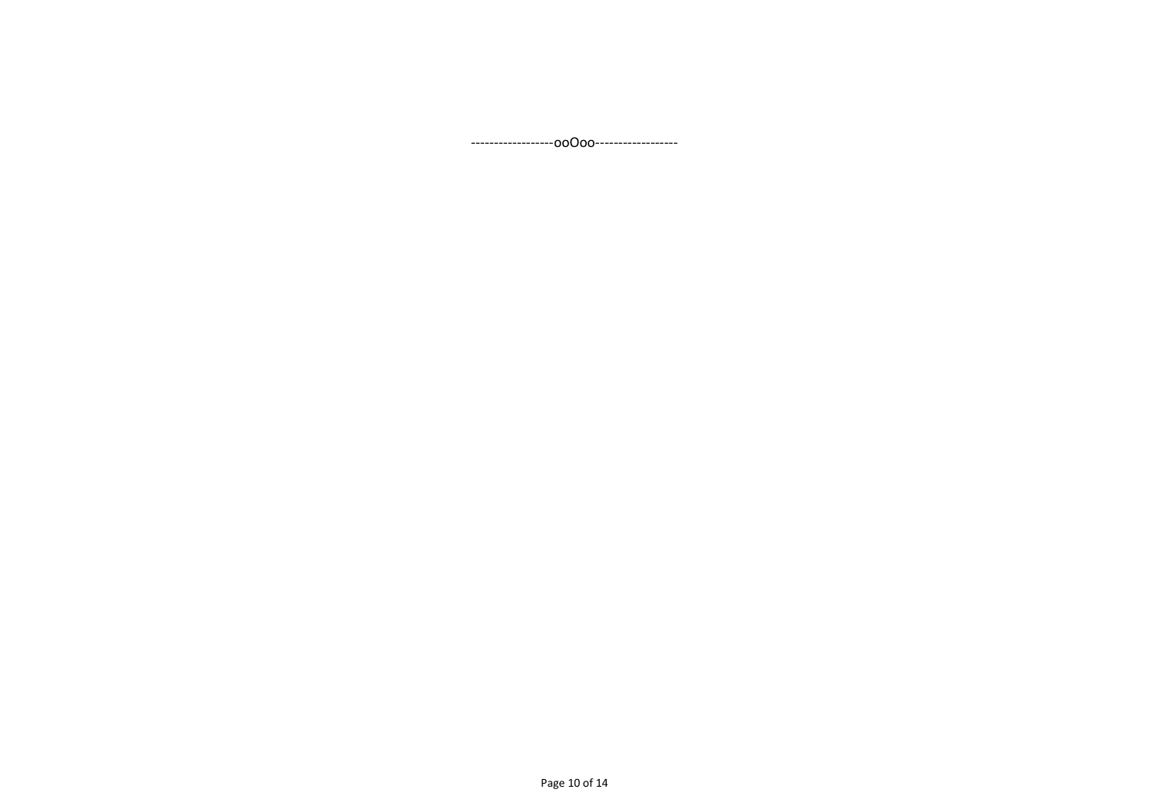<span id="page-9-0"></span>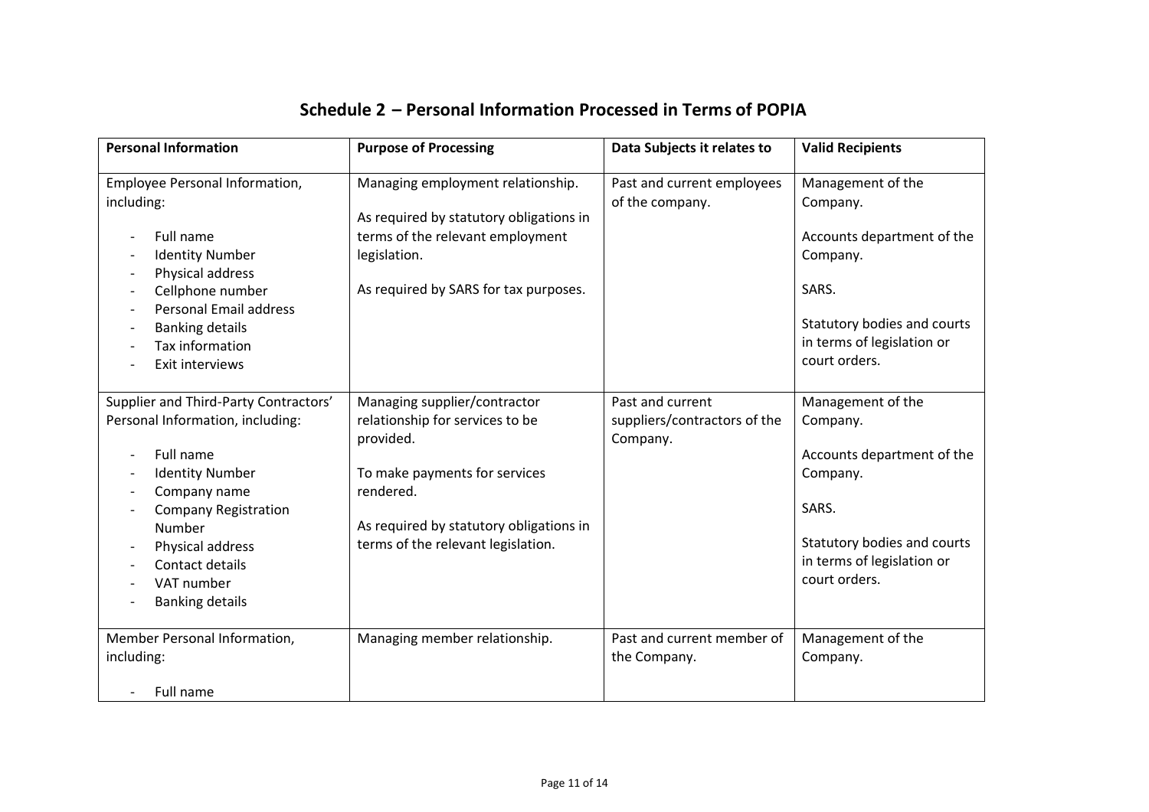<span id="page-10-0"></span>

| <b>Personal Information</b>                                                                                                                                                                                                                              | <b>Purpose of Processing</b>                                                                                                                                                                                | Data Subjects it relates to                                  | <b>Valid Recipients</b>                                                                                                                                        |
|----------------------------------------------------------------------------------------------------------------------------------------------------------------------------------------------------------------------------------------------------------|-------------------------------------------------------------------------------------------------------------------------------------------------------------------------------------------------------------|--------------------------------------------------------------|----------------------------------------------------------------------------------------------------------------------------------------------------------------|
| Employee Personal Information,<br>including:<br>Full name<br><b>Identity Number</b><br>Physical address<br>Cellphone number<br><b>Personal Email address</b><br><b>Banking details</b><br>Tax information<br>Exit interviews                             | Managing employment relationship.<br>As required by statutory obligations in<br>terms of the relevant employment<br>legislation.<br>As required by SARS for tax purposes.                                   | Past and current employees<br>of the company.                | Management of the<br>Company.<br>Accounts department of the<br>Company.<br>SARS.<br>Statutory bodies and courts<br>in terms of legislation or<br>court orders. |
| Supplier and Third-Party Contractors'<br>Personal Information, including:<br>Full name<br><b>Identity Number</b><br>Company name<br><b>Company Registration</b><br>Number<br>Physical address<br>Contact details<br>VAT number<br><b>Banking details</b> | Managing supplier/contractor<br>relationship for services to be<br>provided.<br>To make payments for services<br>rendered.<br>As required by statutory obligations in<br>terms of the relevant legislation. | Past and current<br>suppliers/contractors of the<br>Company. | Management of the<br>Company.<br>Accounts department of the<br>Company.<br>SARS.<br>Statutory bodies and courts<br>in terms of legislation or<br>court orders. |
| Member Personal Information,<br>including:<br>Full name                                                                                                                                                                                                  | Managing member relationship.                                                                                                                                                                               | Past and current member of<br>the Company.                   | Management of the<br>Company.                                                                                                                                  |

## **Schedule 2 – Personal Information Processed in Terms of POPIA**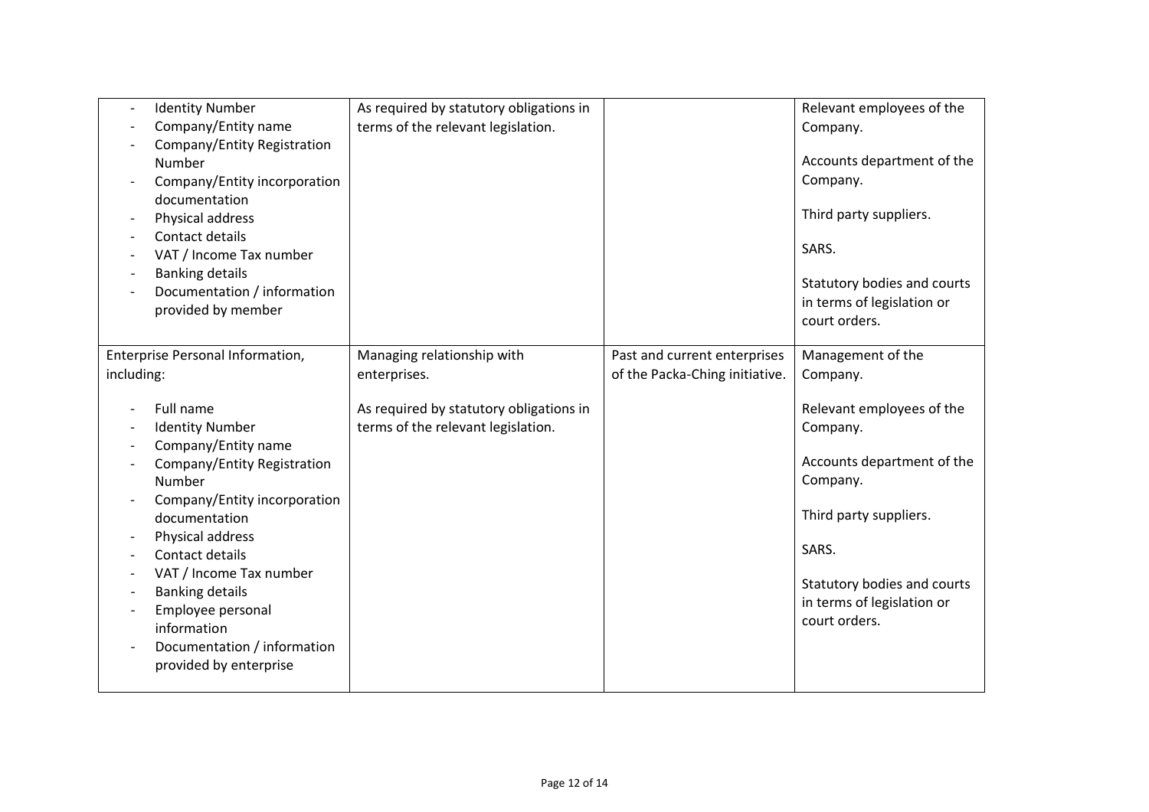| <b>Identity Number</b><br>$\overline{\phantom{a}}$<br>Company/Entity name<br>Company/Entity Registration<br>Number<br>Company/Entity incorporation<br>documentation<br>Physical address<br>Contact details<br>VAT / Income Tax number<br><b>Banking details</b><br>Documentation / information<br>provided by member | As required by statutory obligations in<br>terms of the relevant legislation. |                                                                | Relevant employees of the<br>Company.<br>Accounts department of the<br>Company.<br>Third party suppliers.<br>SARS.<br>Statutory bodies and courts<br>in terms of legislation or<br>court orders. |
|----------------------------------------------------------------------------------------------------------------------------------------------------------------------------------------------------------------------------------------------------------------------------------------------------------------------|-------------------------------------------------------------------------------|----------------------------------------------------------------|--------------------------------------------------------------------------------------------------------------------------------------------------------------------------------------------------|
| Enterprise Personal Information,<br>including:                                                                                                                                                                                                                                                                       | Managing relationship with<br>enterprises.                                    | Past and current enterprises<br>of the Packa-Ching initiative. | Management of the<br>Company.                                                                                                                                                                    |
| Full name                                                                                                                                                                                                                                                                                                            |                                                                               |                                                                |                                                                                                                                                                                                  |
| <b>Identity Number</b>                                                                                                                                                                                                                                                                                               | As required by statutory obligations in<br>terms of the relevant legislation. |                                                                | Relevant employees of the<br>Company.                                                                                                                                                            |
| Company/Entity name                                                                                                                                                                                                                                                                                                  |                                                                               |                                                                |                                                                                                                                                                                                  |
| Company/Entity Registration<br>Number                                                                                                                                                                                                                                                                                |                                                                               |                                                                | Accounts department of the<br>Company.                                                                                                                                                           |
| Company/Entity incorporation                                                                                                                                                                                                                                                                                         |                                                                               |                                                                |                                                                                                                                                                                                  |
| documentation                                                                                                                                                                                                                                                                                                        |                                                                               |                                                                | Third party suppliers.                                                                                                                                                                           |
| Physical address<br>Contact details                                                                                                                                                                                                                                                                                  |                                                                               |                                                                | SARS.                                                                                                                                                                                            |
| VAT / Income Tax number                                                                                                                                                                                                                                                                                              |                                                                               |                                                                | Statutory bodies and courts                                                                                                                                                                      |
| <b>Banking details</b><br>Employee personal                                                                                                                                                                                                                                                                          |                                                                               |                                                                | in terms of legislation or                                                                                                                                                                       |
| information                                                                                                                                                                                                                                                                                                          |                                                                               |                                                                | court orders.                                                                                                                                                                                    |
| Documentation / information                                                                                                                                                                                                                                                                                          |                                                                               |                                                                |                                                                                                                                                                                                  |
| provided by enterprise                                                                                                                                                                                                                                                                                               |                                                                               |                                                                |                                                                                                                                                                                                  |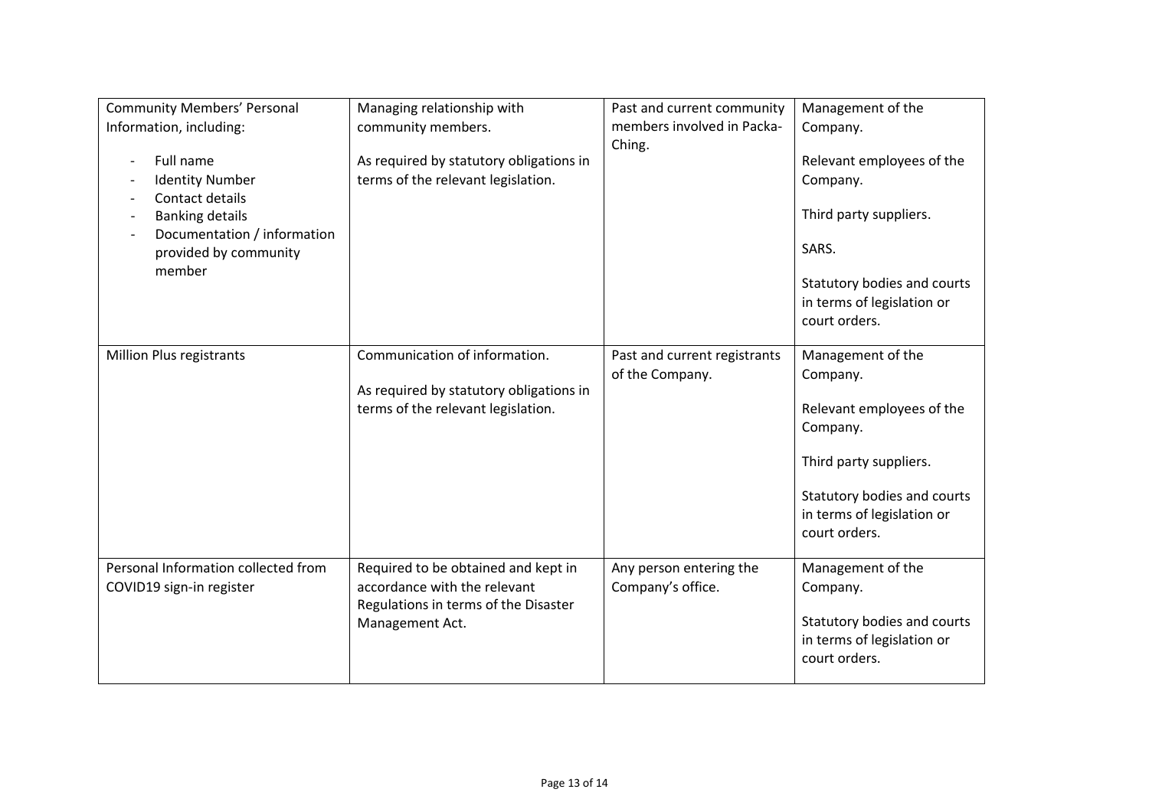| <b>Community Members' Personal</b><br>Information, including:<br>Full name<br><b>Identity Number</b><br>Contact details<br><b>Banking details</b><br>Documentation / information<br>provided by community<br>member | Managing relationship with<br>community members.<br>As required by statutory obligations in<br>terms of the relevant legislation. | Past and current community<br>members involved in Packa-<br>Ching. | Management of the<br>Company.<br>Relevant employees of the<br>Company.<br>Third party suppliers.<br>SARS.<br>Statutory bodies and courts<br>in terms of legislation or<br>court orders. |
|---------------------------------------------------------------------------------------------------------------------------------------------------------------------------------------------------------------------|-----------------------------------------------------------------------------------------------------------------------------------|--------------------------------------------------------------------|-----------------------------------------------------------------------------------------------------------------------------------------------------------------------------------------|
| Million Plus registrants                                                                                                                                                                                            | Communication of information.<br>As required by statutory obligations in<br>terms of the relevant legislation.                    | Past and current registrants<br>of the Company.                    | Management of the<br>Company.<br>Relevant employees of the<br>Company.<br>Third party suppliers.<br>Statutory bodies and courts<br>in terms of legislation or<br>court orders.          |
| Personal Information collected from<br>COVID19 sign-in register                                                                                                                                                     | Required to be obtained and kept in<br>accordance with the relevant<br>Regulations in terms of the Disaster<br>Management Act.    | Any person entering the<br>Company's office.                       | Management of the<br>Company.<br>Statutory bodies and courts<br>in terms of legislation or<br>court orders.                                                                             |